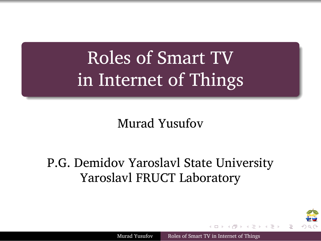Roles of Smart TV in Internet of Things

.

.

Murad Yusufov

P.G. Demidov Yaroslavl State University Yaroslavl FRUCT Laboratory

Murad Yusufov Roles of Smart TV in Internet of Things

. . . . . .

₩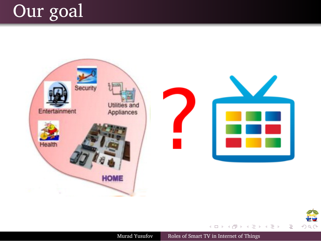



Murad Yusufov Roles of Smart TV in Internet of Things

. . . . . .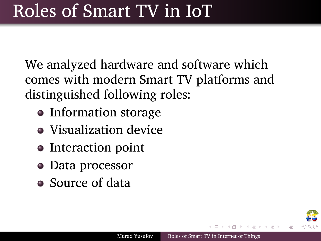### Roles of Smart TV in IoT

We analyzed hardware and software which comes with modern Smart TV platforms and distinguished following roles:

- Information storage
- Visualization device
- Interaction point
- Data processor

.

Source of data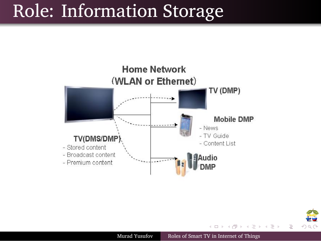## Role: Information Storage

.

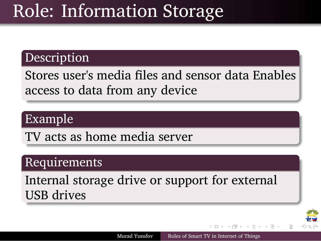## Role: Information Storage

#### . Description .

.

. access to data from any device Stores user's media files and sensor data Enables

### . Example .

.TV acts as home media server

#### . Requirements .

. USB drives Internal storage drive or support for external

Murad Yusufov Roles of Smart TV in Internet of Things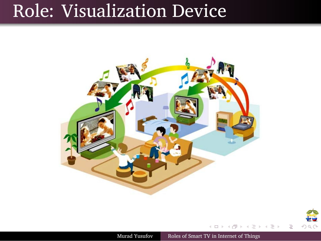# Role: Visualization Device

.

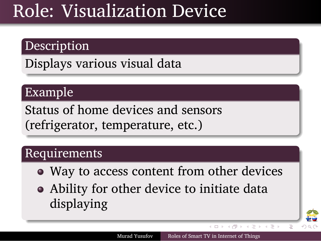### Role: Visualization Device

#### . Description .

.

.Displays various visual data

### . Example .

.

. (refrigerator, temperature, etc.) Status of home devices and sensors

#### . Requirements .

Way to access content from other devices

Murad Yusufov Roles of Smart TV in Internet of Things

 $\Box \rightarrow \Box \Box \rightarrow \Box \rightarrow \Box \rightarrow \Box \rightarrow \Box \rightarrow \Box \Box \Box \Box \Box \Box$ 

傘

Ability for other device to initiate data displaying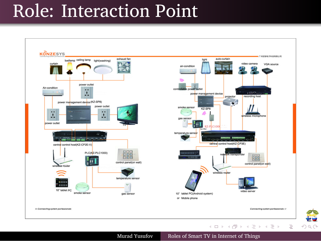## Role: Interaction Point

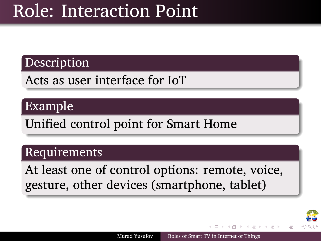### Role: Interaction Point

#### . Description .

.

.Acts as user interface for IoT

### . Example .

.Unified control point for Smart Home

#### . Requirements .

. gesture, other devices (smartphone, tablet) At least one of control options: remote, voice,

绝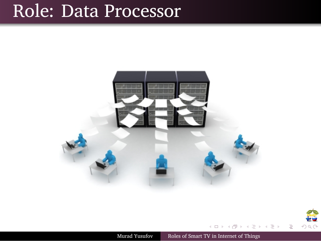# Role: Data Processor

.

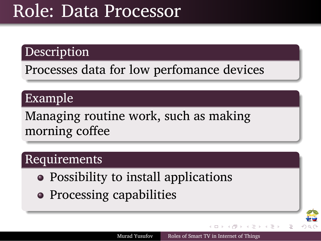### Role: Data Processor

#### . Description .

.

.Processes data for low perfomance devices

### . Example .

.

. morning coffee Managing routine work, such as making

#### . Requirements .

- Possibility to install applications
- Processing capabilities

**PO**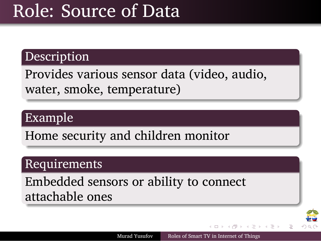## Role: Source of Data

#### . Description .

.

. water, smoke, temperature) Provides various sensor data (video, audio,

### . Example .

.Home security and children monitor

#### . Requirements .

. attachable ones Embedded sensors or ability to connect

Murad Yusufov Roles of Smart TV in Internet of Things

 $\left(\begin{array}{ccccccc} \Box & \rangle & \langle \oplus \rangle & \langle \end{array} \right) \rightarrow \left(\begin{array}{ccccccc} \Xi & \rangle & \langle \end{array} \right) \rightarrow \left(\begin{array}{ccccccc} \Xi & \rangle & \langle \end{array} \right) \rightarrow \left(\begin{array}{ccccccc} \Xi & \rangle & \langle \end{array} \right)$ 

绝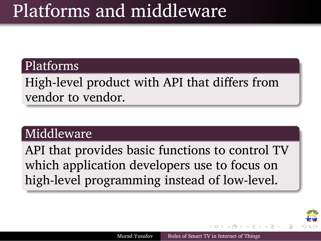### Platforms and middleware

#### . Platforms .

.

. vendor to vendor. High-level product with API that differs from

### . Middleware .

. high-level programming instead of low-level. API that provides basic functions to control TV which application developers use to focus on

Murad Yusufov Roles of Smart TV in Internet of Things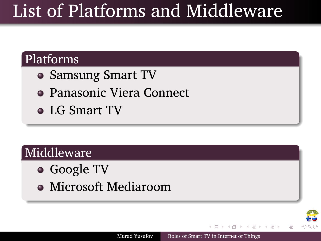## List of Platforms and Middleware

. . . . . .

绝

Murad Yusufov Roles of Smart TV in Internet of Things

### . Platforms .

.

.

- Samsung Smart TV
- Panasonic Viera Connect
- LG Smart TV

### . Middleware .

- o Google TV
- Microsoft Mediaroom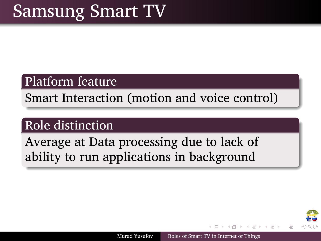## Samsung Smart TV

#### . Platform feature .

.

.Smart Interaction (motion and voice control)

### . Role distinction .

. ability to run applications in background Average at Data processing due to lack of

Murad Yusufov Roles of Smart TV in Internet of Things

. . . . . .

把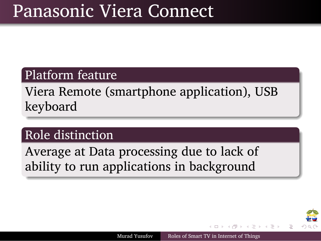## Panasonic Viera Connect

### . Platform feature .

.

. keyboard Viera Remote (smartphone application), USB

### . Role distinction .

. ability to run applications in background Average at Data processing due to lack of

Murad Yusufov Roles of Smart TV in Internet of Things

 $\mathbf{1} \times \mathbf{1} \times \mathbf{1} \times \mathbf{1} \times \mathbf{1} \times \mathbf{1} \times \mathbf{1} \times \mathbf{1} \times \mathbf{1} \times \mathbf{1} \times \mathbf{1} \times \mathbf{1} \times \mathbf{1} \times \mathbf{1} \times \mathbf{1} \times \mathbf{1} \times \mathbf{1} \times \mathbf{1} \times \mathbf{1} \times \mathbf{1} \times \mathbf{1} \times \mathbf{1} \times \mathbf{1} \times \mathbf{1} \times \mathbf{1} \times \mathbf{1} \times \mathbf{1} \times \mathbf{$ 

**THE**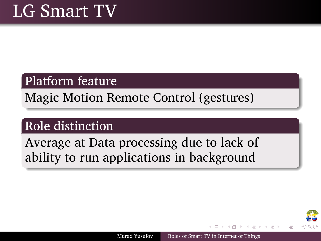## LG Smart TV

.

#### . Platform feature .

.Magic Motion Remote Control (gestures)

### . Role distinction .

. ability to run applications in background Average at Data processing due to lack of

. . . . . .

₽₩

Murad Yusufov Roles of Smart TV in Internet of Things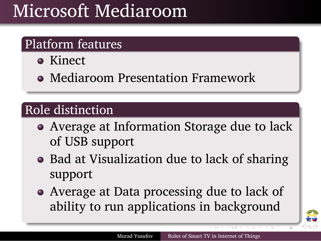### . Microsoft Mediaroom

### . Platform features .

• Kinect

.

.

Mediaroom Presentation Framework

### . Role distinction .

- Average at Information Storage due to lack of USB support
- Bad at Visualization due to lack of sharing support
- Average at Data processing due to lack of ability to run applications in background

Murad Yusufov Roles of Smart TV in Internet of Things

キロア キぼ たき モア キモア ハモン

绝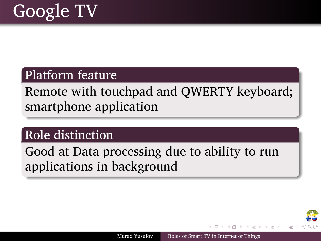## Google TV

.

#### . Platform feature .

. smartphone application Remote with touchpad and QWERTY keyboard;

#### . Role distinction .

. applications in background Good at Data processing due to ability to run